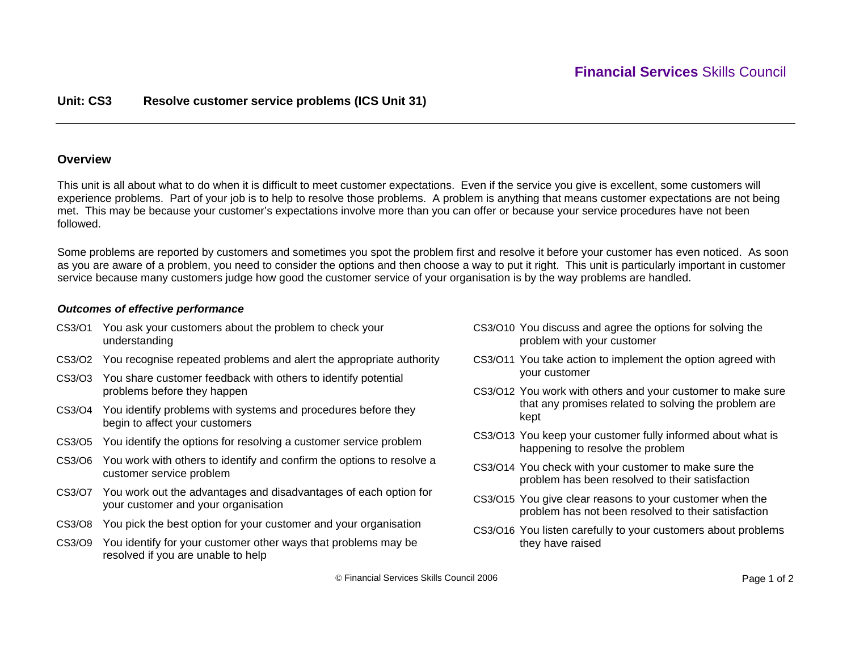## **Unit: CS3 Resolve customer service problems (ICS Unit 31)**

### **Overview**

This unit is all about what to do when it is difficult to meet customer expectations. Even if the service you give is excellent, some customers will experience problems. Part of your job is to help to resolve those problems. A problem is anything that means customer expectations are not being met. This may be because your customer's expectations involve more than you can offer or because your service procedures have not been followed.

Some problems are reported by customers and sometimes you spot the problem first and resolve it before your customer has even noticed. As soon as you are aware of a problem, you need to consider the options and then choose a way to put it right. This unit is particularly important in customer service because many customers judge how good the customer service of your organisation is by the way problems are handled.

### *Outcomes of effective performance*

- CS3/O1 You ask your customers about the problem to check your understanding
- CS3/O2 You recognise repeated problems and alert the appropriate authority
- CS3/O3 You share customer feedback with others to identify potential problems before they happen
- CS3/O4 You identify problems with systems and procedures before they begin to affect your customers
- CS3/O5 You identify the options for resolving a customer service problem
- CS3/O6 You work with others to identify and confirm the options to resolve a customer service problem
- CS3/O7 You work out the advantages and disadvantages of each option for your customer and your organisation
- CS3/O8 You pick the best option for your customer and your organisation
- CS3/O9 You identify for your customer other ways that problems may be resolved if you are unable to help
- CS3/O10 You discuss and agree the options for solving the problem with your customer
- CS3/O11 You take action to implement the option agreed with your customer
- CS3/O12 You work with others and your customer to make sure that any promises related to solving the problem are kept
- CS3/O13 You keep your customer fully informed about what is happening to resolve the problem
- CS3/O14 You check with your customer to make sure the problem has been resolved to their satisfaction
- CS3/O15 You give clear reasons to your customer when the problem has not been resolved to their satisfaction
- CS3/O16 You listen carefully to your customers about problems they have raised

© Financial Services Skills Council 2006 Page 1 of 2